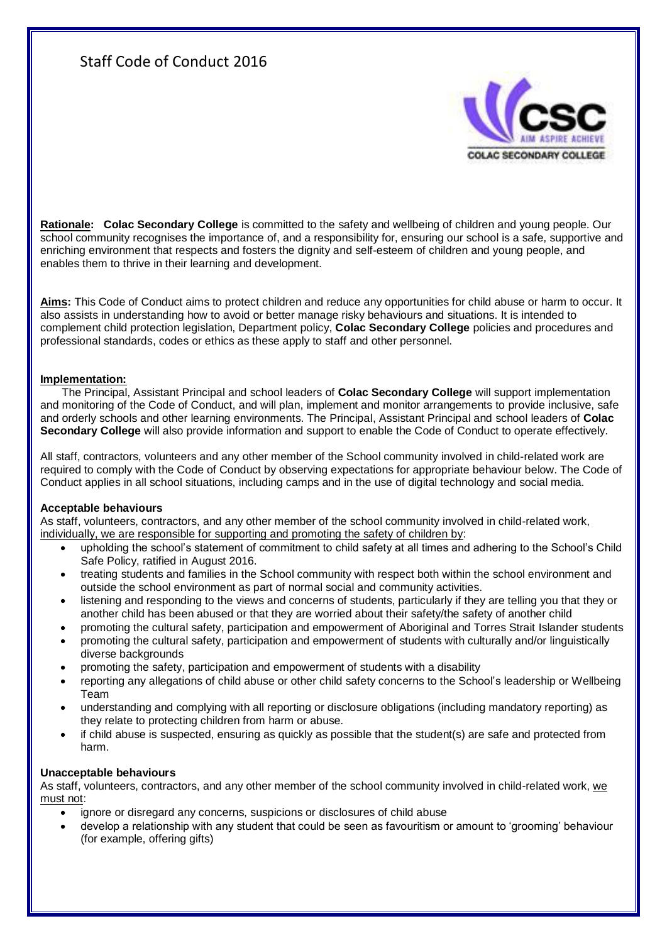# Staff Code of Conduct 2016



**Rationale: Colac Secondary College** is committed to the safety and wellbeing of children and young people. Our school community recognises the importance of, and a responsibility for, ensuring our school is a safe, supportive and enriching environment that respects and fosters the dignity and self-esteem of children and young people, and enables them to thrive in their learning and development.

**Aims:** This Code of Conduct aims to protect children and reduce any opportunities for child abuse or harm to occur. It also assists in understanding how to avoid or better manage risky behaviours and situations. It is intended to complement child protection legislation, Department policy, **Colac Secondary College** policies and procedures and professional standards, codes or ethics as these apply to staff and other personnel.

## **Implementation:**

The Principal, Assistant Principal and school leaders of **Colac Secondary College** will support implementation and monitoring of the Code of Conduct, and will plan, implement and monitor arrangements to provide inclusive, safe and orderly schools and other learning environments. The Principal, Assistant Principal and school leaders of **Colac Secondary College** will also provide information and support to enable the Code of Conduct to operate effectively.

All staff, contractors, volunteers and any other member of the School community involved in child-related work are required to comply with the Code of Conduct by observing expectations for appropriate behaviour below. The Code of Conduct applies in all school situations, including camps and in the use of digital technology and social media.

## **Acceptable behaviours**

As staff, volunteers, contractors, and any other member of the school community involved in child-related work, individually, we are responsible for supporting and promoting the safety of children by:

- upholding the school's statement of commitment to child safety at all times and adhering to the School's Child Safe Policy, ratified in August 2016.
- treating students and families in the School community with respect both within the school environment and outside the school environment as part of normal social and community activities.
- listening and responding to the views and concerns of students, particularly if they are telling you that they or another child has been abused or that they are worried about their safety/the safety of another child
- promoting the cultural safety, participation and empowerment of Aboriginal and Torres Strait Islander students
- promoting the cultural safety, participation and empowerment of students with culturally and/or linguistically diverse backgrounds
- promoting the safety, participation and empowerment of students with a disability
- reporting any allegations of child abuse or other child safety concerns to the School's leadership or Wellbeing Team
- understanding and complying with all reporting or disclosure obligations (including mandatory reporting) as they relate to protecting children from harm or abuse.
- if child abuse is suspected, ensuring as quickly as possible that the student(s) are safe and protected from harm.

## **Unacceptable behaviours**

As staff, volunteers, contractors, and any other member of the school community involved in child-related work, we must not:

- ignore or disregard any concerns, suspicions or disclosures of child abuse
- develop a relationship with any student that could be seen as favouritism or amount to 'grooming' behaviour (for example, offering gifts)